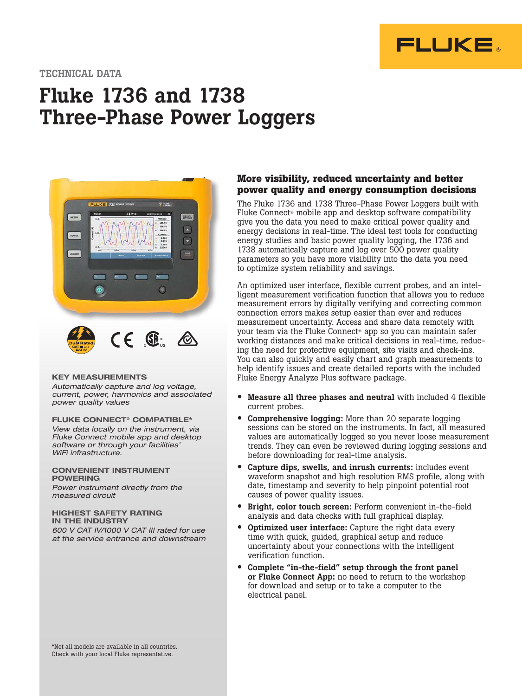

#### TECHNICAL DATA

# Fluke 1736 and 1738 Three-Phase Power Loggers



#### KEY MEASUREMENTS

*Automatically capture and log voltage, current, power, harmonics and associated power quality values* 

#### FLUKE CONNECT® COMPATIBLE\*

*View data locally on the instrument, via Fluke Connect mobile app and desktop software or through your facilities' WiFi infrastructure.* 

#### CONVENIENT INSTRUMENT POWERING

*Power instrument directly from the measured circuit* 

#### HIGHEST SAFETY RATING IN THE INDUSTRY

*600 V CAT IV/1000 V CAT III rated for use at the service entrance and downstream*

#### **More visibility, reduced uncertainty and better power quality and energy consumption decisions**

The Fluke 1736 and 1738 Three-Phase Power Loggers built with Fluke Connect® mobile app and desktop software compatibility give you the data you need to make critical power quality and energy decisions in real-time. The ideal test tools for conducting energy studies and basic power quality logging, the 1736 and 1738 automatically capture and log over 500 power quality parameters so you have more visibility into the data you need to optimize system reliability and savings.

An optimized user interface, flexible current probes, and an intelligent measurement verification function that allows you to reduce measurement errors by digitally verifying and correcting common connection errors makes setup easier than ever and reduces measurement uncertainty. Access and share data remotely with your team via the Fluke Connect® app so you can maintain safer working distances and make critical decisions in real-time, reducing the need for protective equipment, site visits and check-ins. You can also quickly and easily chart and graph measurements to help identify issues and create detailed reports with the included Fluke Energy Analyze Plus software package.

- Measure all three phases and neutral with included 4 flexible current probes.
- Comprehensive logging: More than 20 separate logging sessions can be stored on the instruments. In fact, all measured values are automatically logged so you never loose measurement trends. They can even be reviewed during logging sessions and before downloading for real-time analysis.
- Capture dips, swells, and inrush currents: includes event waveform snapshot and high resolution RMS profile, along with date, timestamp and severity to help pinpoint potential root causes of power quality issues.
- Bright, color touch screen: Perform convenient in-the-field analysis and data checks with full graphical display.
- **Optimized user interface:** Capture the right data every time with quick, guided, graphical setup and reduce uncertainty about your connections with the intelligent verification function.
- Complete "in-the-field" setup through the front panel or Fluke Connect App: no need to return to the workshop for download and setup or to take a computer to the electrical panel.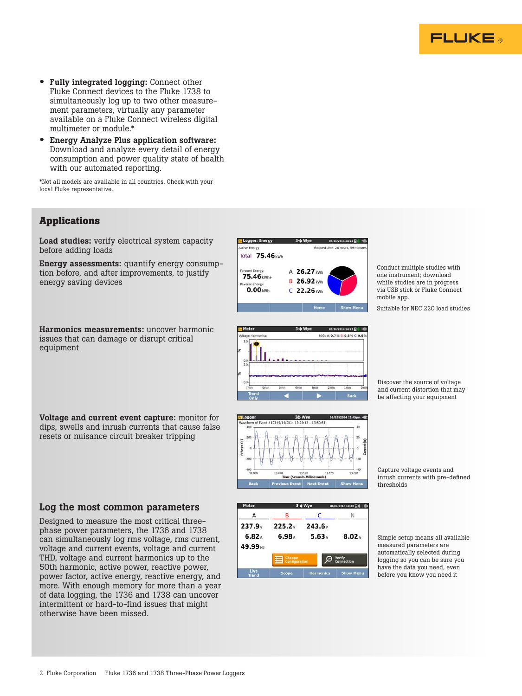

- Fully integrated logging: Connect other Fluke Connect devices to the Fluke 1738 to simultaneously log up to two other measurement parameters, virtually any parameter available on a Fluke Connect wireless digital multimeter or module.\*
- Energy Analyze Plus application software: Download and analyze every detail of energy consumption and power quality state of health with our automated reporting.

\*Not all models are available in all countries. Check with your local Fluke representative.

# **Applications**

Load studies: verify electrical system capacity before adding loads

Energy assessments: quantify energy consumption before, and after improvements, to justify energy saving devices





Conduct multiple studies with one instrument; download while studies are in progress via USB stick or Fluke Connect mobile app.

Suitable for NEC 220 load studies

3ф Wye 06/18/2014 12: ent #123 (9/14/2014 12:23:13 - 13:50:51)

Discover the source of voltage and current distortion that may be affecting your equipment

Capture voltage events and inrush currents with pre-defined thresholds

#### Log the most common parameters

Voltage and current event capture: monitor for dips, swells and inrush currents that cause false resets or nuisance circuit breaker tripping

Designed to measure the most critical threephase power parameters, the 1736 and 1738 can simultaneously log rms voltage, rms current, voltage and current events, voltage and current THD, voltage and current harmonics up to the 50th harmonic, active power, reactive power, power factor, active energy, reactive energy, and more. With enough memory for more than a year of data logging, the 1736 and 1738 can uncover intermittent or hard-to-find issues that might otherwise have been missed.



Simple setup means all available measured parameters are automatically selected during logging so you can be sure you have the data you need, even before you know you need it

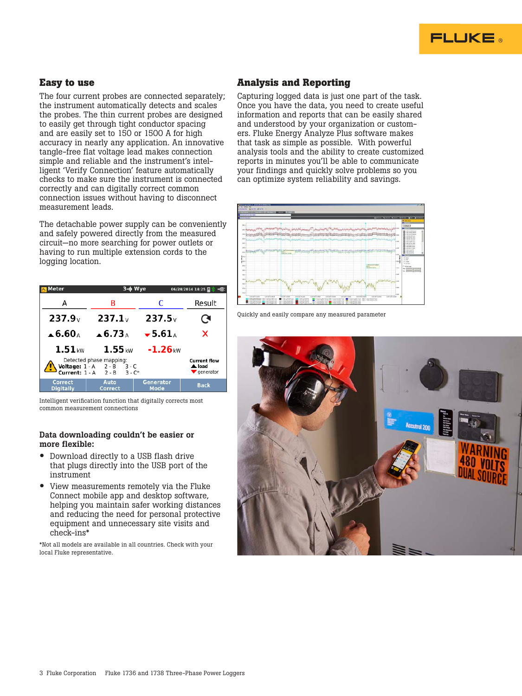

### **Easy to use**

The four current probes are connected separately; the instrument automatically detects and scales the probes. The thin current probes are designed to easily get through tight conductor spacing and are easily set to 150 or 1500 A for high accuracy in nearly any application. An innovative tangle-free flat voltage lead makes connection simple and reliable and the instrument's intelligent 'Verify Connection' feature automatically checks to make sure the instrument is connected correctly and can digitally correct common connection issues without having to disconnect measurement leads.

The detachable power supply can be conveniently and safely powered directly from the measured circuit—no more searching for power outlets or having to run multiple extension cords to the logging location.

| Meter                                                                                                                                                                   |                              | 3-ф Wye                                | $06/24/2014$ 14:25 $\Box$ ) $\Box$ |  |  |
|-------------------------------------------------------------------------------------------------------------------------------------------------------------------------|------------------------------|----------------------------------------|------------------------------------|--|--|
| А                                                                                                                                                                       | в                            | C                                      | Result                             |  |  |
| 237.9 <sub>v</sub>                                                                                                                                                      | 237.1 <sub>v</sub>           | 237.5v                                 | G.                                 |  |  |
| $\clubsuit$ 6.60 $\triangle$                                                                                                                                            | $\triangle$ 6.73 $\triangle$ | $\blacktriangledown$ 5.61 <sub>A</sub> | x                                  |  |  |
| $1.51$ <sub>kW</sub>                                                                                                                                                    | $1.55$ <sub>kW</sub>         | $-1.26$ <sub>kW</sub>                  |                                    |  |  |
| Detected phase mapping:<br><b>Current flow</b><br>Voltage: $1 - A$ $2 - B$<br>$3 - C$<br>A load<br>Current: $1 - A$ $2 - B$ $3 - C^*$<br>$\blacktriangledown$ generator |                              |                                        |                                    |  |  |
| <b>Correct</b><br><b>Digitally</b>                                                                                                                                      | Auto<br>Correct              | <b>Generator</b><br>Mode               | <b>Back</b>                        |  |  |

Intelligent verification function that digitally corrects most common measurement connections

#### Data downloading couldn't be easier or more flexible:

- Download directly to a USB flash drive that plugs directly into the USB port of the instrument
- View measurements remotely via the Fluke Connect mobile app and desktop software, helping you maintain safer working distances and reducing the need for personal protective equipment and unnecessary site visits and check-ins\*

\*Not all models are available in all countries. Check with your local Fluke representative.

## **Analysis and Reporting**

Capturing logged data is just one part of the task. Once you have the data, you need to create useful information and reports that can be easily shared and understood by your organization or customers. Fluke Energy Analyze Plus software makes that task as simple as possible. With powerful analysis tools and the ability to create customized reports in minutes you'll be able to communicate your findings and quickly solve problems so you can optimize system reliability and savings.



Quickly and easily compare any measured parameter

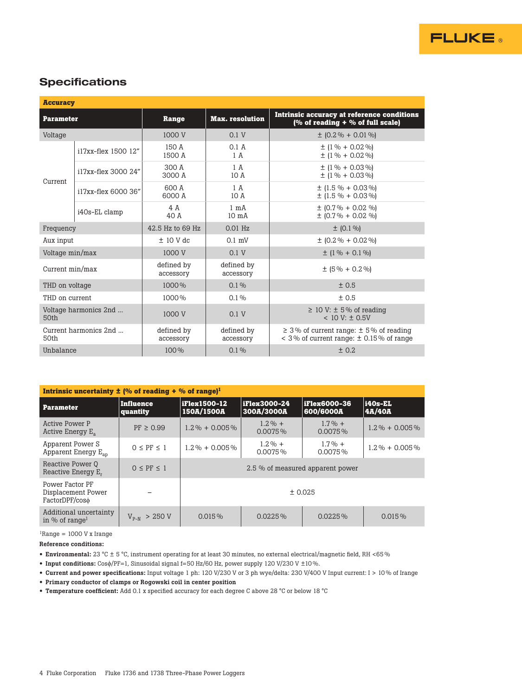

# **Specifications**

| <b>Accuracy</b>               |                     |                         |                                   |                                                                                                  |  |  |
|-------------------------------|---------------------|-------------------------|-----------------------------------|--------------------------------------------------------------------------------------------------|--|--|
| <b>Parameter</b>              |                     | Range                   | <b>Max.</b> resolution            | Intrinsic accuracy at reference conditions<br>(% of reading $+$ % of full scale)                 |  |  |
| Voltage                       |                     | 1000 V                  | 0.1V                              | $\pm$ (0.2 % + 0.01 %)                                                                           |  |  |
|                               | i17xx-flex 1500 12" | 150 A<br>1500 A         | 0.1 A<br>1 A                      | $\pm$ (1 % + 0.02 %)<br>$\pm$ (1 % + 0.02 %)                                                     |  |  |
| Current                       | i17xx-flex 3000 24" | 300 A<br>3000 A         | 1A<br>10A                         | $\pm$ (1 % + 0.03 %)<br>$\pm$ (1 % + 0.03 %)                                                     |  |  |
|                               | i17xx-flex 6000 36" | 600 A<br>6000 A         |                                   | $\pm$ (1.5 % + 0.03 %)<br>$\pm$ (1.5 % + 0.03 %)                                                 |  |  |
|                               | i40s-EL clamp       | 4 A<br>40 A             | $1 \text{ mA}$<br>$10 \text{ mA}$ | $\pm$ (0.7% + 0.02 %)<br>$\pm$ (0.7% + 0.02 %)                                                   |  |  |
| Frequency                     |                     | 42.5 Hz to 69 Hz        | $0.01$ Hz                         | $\pm$ (0.1 %)                                                                                    |  |  |
| Aux input                     |                     | $± 10$ V dc             | $0.1$ mV                          | $\pm$ (0.2 % + 0.02 %)                                                                           |  |  |
| Voltage min/max               |                     | 1000 V                  | 0.1V                              | $\pm$ (1 % + 0.1 %)                                                                              |  |  |
| Current $min/max$             |                     | defined by<br>accessory | defined by<br>accessory           | $\pm$ (5 % + 0.2 %)                                                                              |  |  |
| THD on voltage                |                     | 1000%                   | $0.1\%$                           | ± 0.5                                                                                            |  |  |
| THD on current                |                     | 1000%                   | $0.1\%$                           | ± 0.5                                                                                            |  |  |
| Voltage harmonics 2nd<br>50th |                     | 1000 V                  | 0.1 V                             | $\geq$ 10 V: $\pm$ 5% of reading<br>$< 10 V: \pm 0.5V$                                           |  |  |
| Current harmonics 2nd<br>50th |                     | defined by<br>accessory | defined by<br>accessory           | $\geq$ 3% of current range: $\pm$ 5% of reading<br>$<$ 3% of current range: $\pm$ 0.15% of range |  |  |
| Unbalance                     |                     | 100%                    | $0.1\%$                           | $+ 0.2$                                                                                          |  |  |

| Intrinsic uncertainty $\pm$ (% of reading + % of range) <sup>1</sup> |                       |                                  |                            |                                  |                   |  |
|----------------------------------------------------------------------|-----------------------|----------------------------------|----------------------------|----------------------------------|-------------------|--|
| <b>Parameter</b>                                                     | Influence<br>quantity | iFlex1500-12<br>150A/1500A       | iFlex3000-24<br>300A/3000A | <b>iFlex6000-36</b><br>600/6000A | i40s-EL<br>4A/40A |  |
| Active Power P<br>Active Energy $E_a$                                | $PF \geq 0.99$        | $1.2\% + 0.005\%$                | $1.2\% +$<br>$0.0075\%$    | $1.7\% +$<br>$0.0075\%$          | $1.2\% + 0.005\%$ |  |
| Apparent Power S<br>Apparent Energy $E_{an}$                         | $0 \leq PF \leq 1$    | $1.2\% + 0.005\%$                | $1.2\% +$<br>$0.0075\%$    | $1.7\% +$<br>$0.0075\%$          | $1.2\% + 0.005\%$ |  |
| Reactive Power 0<br>Reactive Energy E.                               | $0 \leq PF \leq 1$    | 2.5 % of measured apparent power |                            |                                  |                   |  |
| Power Factor PF<br>Displacement Power<br>FactorDPF/coso              |                       | ± 0.025                          |                            |                                  |                   |  |
| Additional uncertainty<br>in % of range <sup>1</sup>                 | $V_{p_{-N}} > 250 V$  | $0.015\%$                        | $0.0225\%$                 | $0.0225\%$                       | $0.015\%$         |  |

 ${}^{1}$ Range = 1000 V x Irange

Reference conditions:

• Environmental: 23 °C ± 5 °C, instrument operating for at least 30 minutes, no external electrical/magnetic field, RH <65 %

- Input conditions: Cosϕ/PF=1, Sinusoidal signal f=50 Hz/60 Hz, power supply 120 V/230 V ±10 %.
- Current and power specifications: Input voltage 1 ph: 120 V/230 V or 3 ph wye/delta: 230 V/400 V Input current: I > 10 % of Irange

• Primary conductor of clamps or Rogowski coil in center position

• Temperature coefficient: Add 0.1 x specified accuracy for each degree C above 28 °C or below 18 °C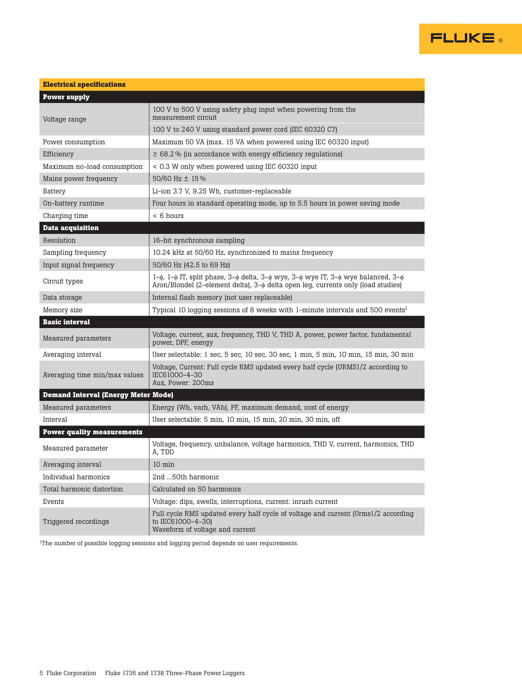

| <b>Electrical specifications</b>           |                                                                                                                                                                                                               |  |  |  |  |
|--------------------------------------------|---------------------------------------------------------------------------------------------------------------------------------------------------------------------------------------------------------------|--|--|--|--|
| <b>Power supply</b>                        |                                                                                                                                                                                                               |  |  |  |  |
| Voltage range                              | 100 V to 500 V using safety plug input when powering from the<br>measurement circuit                                                                                                                          |  |  |  |  |
|                                            | 100 V to 240 V using standard power cord (IEC 60320 C7)                                                                                                                                                       |  |  |  |  |
| Power consumption                          | Maximum 50 VA (max. 15 VA when powered using IEC 60320 input)                                                                                                                                                 |  |  |  |  |
| Efficiency                                 | $\geq 68.2\%$ (in accordance with energy efficiency regulations)                                                                                                                                              |  |  |  |  |
| Maximum no-load consumption                | < 0.3 W only when powered using IEC 60320 input                                                                                                                                                               |  |  |  |  |
| Mains power frequency                      | 50/60 Hz ± 15%                                                                                                                                                                                                |  |  |  |  |
| <b>Battery</b>                             | Li-ion 3.7 V, 9.25 Wh, customer-replaceable                                                                                                                                                                   |  |  |  |  |
| On-battery runtime                         | Four hours in standard operating mode, up to 5.5 hours in power saving mode                                                                                                                                   |  |  |  |  |
| Charging time                              | < 6 hours                                                                                                                                                                                                     |  |  |  |  |
| <b>Data acquisition</b>                    |                                                                                                                                                                                                               |  |  |  |  |
| Resolution                                 | 16-bit synchronous sampling                                                                                                                                                                                   |  |  |  |  |
| Sampling frequency                         | 10.24 kHz at 50/60 Hz, synchronized to mains frequency                                                                                                                                                        |  |  |  |  |
| Input signal frequency                     | 50/60 Hz (42.5 to 69 Hz)                                                                                                                                                                                      |  |  |  |  |
| Circuit types                              | $1-\phi$ , $1-\phi$ IT, split phase, $3-\phi$ delta, $3-\phi$ wye, $3-\phi$ wye IT, $3-\phi$ wye balanced, $3-\phi$<br>Aron/Blondel (2-element delta), 3- $\phi$ delta open leg, currents only (load studies) |  |  |  |  |
| Data storage                               | Internal flash memory (not user replaceable)                                                                                                                                                                  |  |  |  |  |
| Memory size                                | Typical 10 logging sessions of 8 weeks with 1-minute intervals and 500 events <sup>1</sup>                                                                                                                    |  |  |  |  |
| <b>Basic interval</b>                      |                                                                                                                                                                                                               |  |  |  |  |
| Measured parameters                        | Voltage, current, aux, frequency, THD V, THD A, power, power factor, fundamental<br>power, DPF, energy                                                                                                        |  |  |  |  |
| Averaging interval                         | User selectable: 1 sec, 5 sec, 10 sec, 30 sec, 1 min, 5 min, 10 min, 15 min, 30 min                                                                                                                           |  |  |  |  |
| Averaging time min/max values              | Voltage, Current: Full cycle RMS updated every half cycle (URMS1/2 according to<br>IEC61000-4-30<br>Aux, Power: 200ms                                                                                         |  |  |  |  |
| <b>Demand Interval (Energy Meter Mode)</b> |                                                                                                                                                                                                               |  |  |  |  |
| Measured parameters                        | Energy (Wh, varh, VAh), PF, maximum demand, cost of energy                                                                                                                                                    |  |  |  |  |
| Interval                                   | User selectable: 5 min, 10 min, 15 min, 20 min, 30 min, off                                                                                                                                                   |  |  |  |  |
| <b>Power quality measurements</b>          |                                                                                                                                                                                                               |  |  |  |  |
| Measured parameter                         | Voltage, frequency, unbalance, voltage harmonics, THD V, current, harmonics, THD<br>A. TDD                                                                                                                    |  |  |  |  |
| Averaging interval                         | $10 \text{ min}$                                                                                                                                                                                              |  |  |  |  |
| Individual harmonics                       | 2nd 50th harmonic                                                                                                                                                                                             |  |  |  |  |
| Total harmonic distortion                  | Calculated on 50 harmonics                                                                                                                                                                                    |  |  |  |  |
| Events                                     | Voltage: dips, swells, interruptions, current: inrush current                                                                                                                                                 |  |  |  |  |
| Triggered recordings                       | Full cycle RMS updated every half cycle of voltage and current (Urms1/2 according<br>to IEC61000-4-30)<br>Waveform of voltage and current                                                                     |  |  |  |  |

 $^{\rm l}{\rm The}$  number of possible logging sessions and logging period depends on user requirements.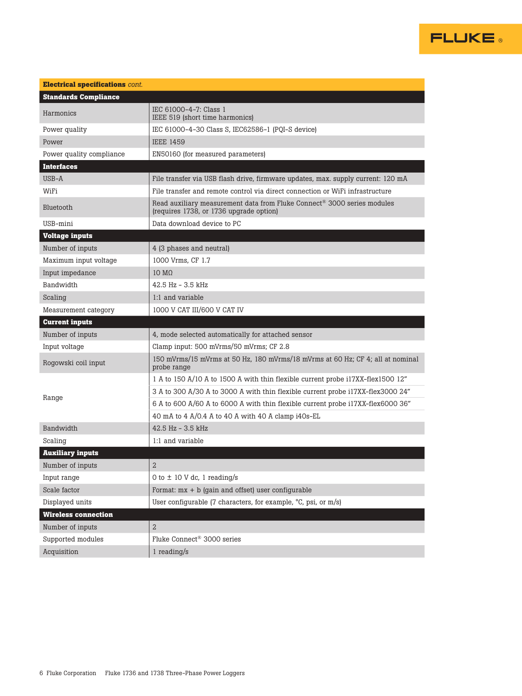

| <b>Electrical specifications cont.</b> |                                                                                                                                |
|----------------------------------------|--------------------------------------------------------------------------------------------------------------------------------|
| <b>Standards Compliance</b>            |                                                                                                                                |
| Harmonics                              | IEC 61000-4-7: Class 1<br>IEEE 519 (short time harmonics)                                                                      |
| Power quality                          | IEC 61000-4-30 Class S, IEC62586-1 (PQI-S device)                                                                              |
| Power                                  | <b>IEEE 1459</b>                                                                                                               |
| Power quality compliance               | EN50160 (for measured parameters)                                                                                              |
| <b>Interfaces</b>                      |                                                                                                                                |
| USB-A                                  | File transfer via USB flash drive, firmware updates, max. supply current: 120 mA                                               |
| WiFi                                   | File transfer and remote control via direct connection or WiFi infrastructure                                                  |
| Bluetooth                              | Read auxiliary measurement data from Fluke Connect <sup>®</sup> 3000 series modules<br>(requires 1738, or 1736 upgrade option) |
| USB-mini                               | Data download device to PC                                                                                                     |
| <b>Voltage inputs</b>                  |                                                                                                                                |
| Number of inputs                       | 4 (3 phases and neutral)                                                                                                       |
| Maximum input voltage                  | 1000 Vrms. CF 1.7                                                                                                              |
| Input impedance                        | $10 \text{ M}\Omega$                                                                                                           |
| Bandwidth                              | $42.5$ Hz $-3.5$ kHz                                                                                                           |
| Scaling                                | 1:1 and variable                                                                                                               |
| Measurement category                   | 1000 V CAT III/600 V CAT IV                                                                                                    |
|                                        |                                                                                                                                |
| <b>Current inputs</b>                  |                                                                                                                                |
| Number of inputs                       | 4, mode selected automatically for attached sensor                                                                             |
| Input voltage                          | Clamp input: 500 mVrms/50 mVrms; CF 2.8                                                                                        |
| Rogowski coil input                    | 150 mVrms/15 mVrms at 50 Hz, 180 mVrms/18 mVrms at 60 Hz; CF 4; all at nominal<br>probe range                                  |
|                                        | 1 A to 150 A/10 A to 1500 A with thin flexible current probe i17XX-flex1500 12"                                                |
|                                        | 3 A to 300 A/30 A to 3000 A with thin flexible current probe i17XX-flex3000 24"                                                |
| Range                                  | 6 A to 600 A/60 A to 6000 A with thin flexible current probe i17XX-flex6000 36"                                                |
|                                        | 40 mA to 4 A/0.4 A to 40 A with 40 A clamp i40s-EL                                                                             |
| Bandwidth                              | $42.5$ Hz - $3.5$ kHz                                                                                                          |
| Scaling                                | 1:1 and variable                                                                                                               |
| <b>Auxiliary inputs</b>                |                                                                                                                                |
| Number of inputs                       | $\overline{2}$                                                                                                                 |
| Input range                            | 0 to $\pm$ 10 V dc, 1 reading/s                                                                                                |
| Scale factor                           | Format: $mx + b$ (gain and offset) user configurable                                                                           |
| Displayed units                        | User configurable (7 characters, for example, °C, psi, or m/s)                                                                 |
| <b>Wireless connection</b>             |                                                                                                                                |
| Number of inputs                       | $\overline{2}$                                                                                                                 |
| Supported modules                      | Fluke Connect® 3000 series                                                                                                     |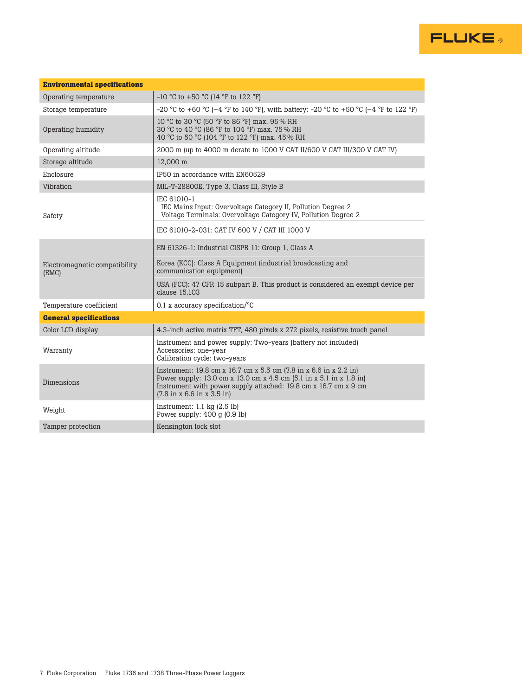| <b>Environmental specifications</b>    |                                                                                                                                                                                                                                                                       |  |  |  |  |
|----------------------------------------|-----------------------------------------------------------------------------------------------------------------------------------------------------------------------------------------------------------------------------------------------------------------------|--|--|--|--|
| Operating temperature                  | $-10$ °C to $+50$ °C (14 °F to 122 °F)                                                                                                                                                                                                                                |  |  |  |  |
| Storage temperature                    | -20 °C to +60 °C (-4 °F to 140 °F), with battery: -20 °C to +50 °C (-4 °F to 122 °F)                                                                                                                                                                                  |  |  |  |  |
| Operating humidity                     | 10 °C to 30 °C (50 °F to 86 °F) max. 95 % RH<br>30 °C to 40 °C (86 °F to 104 °F) max. 75 % RH<br>40 °C to 50 °C (104 °F to 122 °F) max. 45 % RH                                                                                                                       |  |  |  |  |
| Operating altitude                     | 2000 m (up to 4000 m derate to 1000 V CAT II/600 V CAT III/300 V CAT IV)                                                                                                                                                                                              |  |  |  |  |
| Storage altitude                       | 12.000 m                                                                                                                                                                                                                                                              |  |  |  |  |
| Enclosure                              | IP50 in accordance with EN60529                                                                                                                                                                                                                                       |  |  |  |  |
| Vibration                              | MIL-T-28800E, Type 3, Class III, Style B                                                                                                                                                                                                                              |  |  |  |  |
| Safety                                 | IEC 61010-1<br>IEC Mains Input: Overvoltage Category II, Pollution Degree 2<br>Voltage Terminals: Overvoltage Category IV, Pollution Degree 2                                                                                                                         |  |  |  |  |
|                                        | IEC 61010-2-031: CAT IV 600 V / CAT III 1000 V                                                                                                                                                                                                                        |  |  |  |  |
|                                        | EN 61326-1: Industrial CISPR 11: Group 1, Class A                                                                                                                                                                                                                     |  |  |  |  |
| Electromagnetic compatibility<br>(EMC) | Korea (KCC): Class A Equipment (industrial broadcasting and<br>communication equipment)                                                                                                                                                                               |  |  |  |  |
|                                        | USA (FCC): 47 CFR 15 subpart B. This product is considered an exempt device per<br>clause 15.103                                                                                                                                                                      |  |  |  |  |
| Temperature coefficient                | 0.1 x accuracy specification/ $\degree$ C                                                                                                                                                                                                                             |  |  |  |  |
| <b>General specifications</b>          |                                                                                                                                                                                                                                                                       |  |  |  |  |
| Color LCD display                      | 4.3-inch active matrix TFT, 480 pixels x 272 pixels, resistive touch panel                                                                                                                                                                                            |  |  |  |  |
| Warranty                               | Instrument and power supply: Two-years (battery not included)<br>Accessories: one-year<br>Calibration cycle: two-years                                                                                                                                                |  |  |  |  |
| Dimensions                             | Instrument: 19.8 cm x 16.7 cm x 5.5 cm (7.8 in x 6.6 in x 2.2 in)<br>Power supply: 13.0 cm x 13.0 cm x 4.5 cm (5.1 in x 5.1 in x 1.8 in)<br>Instrument with power supply attached: 19.8 cm x 16.7 cm x 9 cm<br>$(7.8 \text{ in } x 6.6 \text{ in } x 3.5 \text{ in})$ |  |  |  |  |
| Weight                                 | Instrument: $1.1 \text{ kg}$ (2.5 lb)<br>Power supply: $400q$ (0.9 lb)                                                                                                                                                                                                |  |  |  |  |
| Tamper protection                      | Kensington lock slot                                                                                                                                                                                                                                                  |  |  |  |  |

**FLUKE**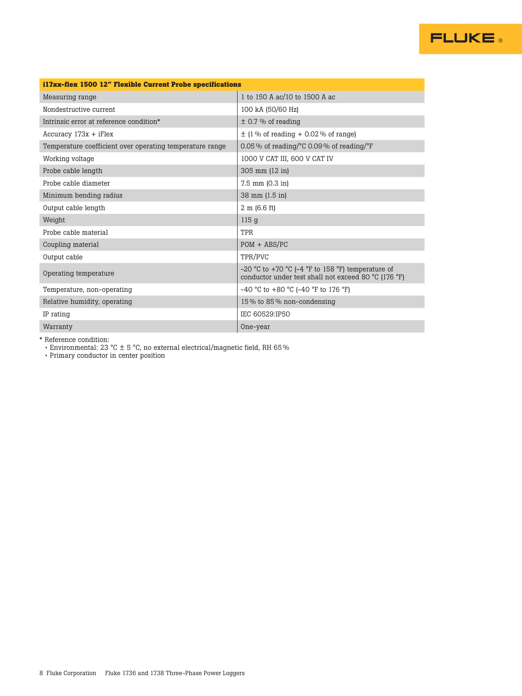

| i17xx-flex 1500 12" Flexible Current Probe specifications |                                                                                                           |  |  |  |  |
|-----------------------------------------------------------|-----------------------------------------------------------------------------------------------------------|--|--|--|--|
| Measuring range                                           | 1 to 150 A ac/10 to 1500 A ac                                                                             |  |  |  |  |
| Nondestructive current                                    | 100 kA (50/60 Hz)                                                                                         |  |  |  |  |
| Intrinsic error at reference condition*                   | $\pm$ 0.7 % of reading                                                                                    |  |  |  |  |
| $Accuracy 173x + iFlex$                                   | $\pm$ (1% of reading + 0.02% of range)                                                                    |  |  |  |  |
| Temperature coefficient over operating temperature range  | 0.05% of reading/ $\degree$ C 0.09% of reading/ $\degree$ F                                               |  |  |  |  |
| Working voltage                                           | 1000 V CAT III, 600 V CAT IV                                                                              |  |  |  |  |
| Probe cable length                                        | 305 mm (12 in)                                                                                            |  |  |  |  |
| Probe cable diameter                                      | $7.5$ mm $(0.3$ in)                                                                                       |  |  |  |  |
| Minimum bending radius                                    | 38 mm (1.5 in)                                                                                            |  |  |  |  |
| Output cable length                                       | $2 \text{ m}$ (6.6 ft)                                                                                    |  |  |  |  |
| Weight                                                    | 115 <sub>g</sub>                                                                                          |  |  |  |  |
| Probe cable material                                      | TPR                                                                                                       |  |  |  |  |
| Coupling material                                         | $POM + ABS/PC$                                                                                            |  |  |  |  |
| Output cable                                              | TPR/PVC                                                                                                   |  |  |  |  |
| Operating temperature                                     | -20 °C to +70 °C (-4 °F to 158 °F) temperature of<br>conductor under test shall not exceed 80 °C (176 °F) |  |  |  |  |
| Temperature, non-operating                                | $-40$ °C to $+80$ °C (-40 °F to 176 °F)                                                                   |  |  |  |  |
| Relative humidity, operating                              | 15% to 85% non-condensing                                                                                 |  |  |  |  |
| IP rating                                                 | IEC 60529:IP50                                                                                            |  |  |  |  |
| Warranty                                                  | One-year                                                                                                  |  |  |  |  |

\* Reference condition:

• Environmental: 23 °C  $\pm$  5 °C, no external electrical/magnetic field, RH 65 %

 • Primary conductor in center position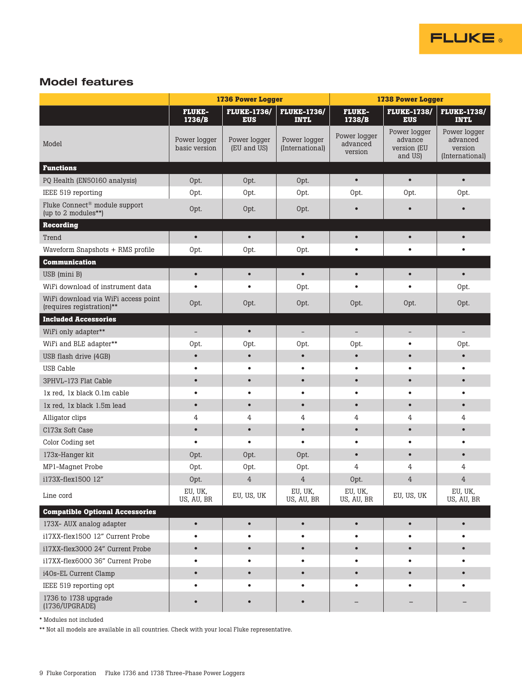

# Model features

|                                                                  | 1736 Power Logger             |                                  |                                   | <b>1738 Power Logger</b>            |                                                   |                                                        |  |
|------------------------------------------------------------------|-------------------------------|----------------------------------|-----------------------------------|-------------------------------------|---------------------------------------------------|--------------------------------------------------------|--|
|                                                                  | <b>FLUKE-</b><br>1736/B       | <b>FLUKE-1736/</b><br><b>EUS</b> | <b>FLUKE-1736/</b><br><b>INTL</b> | <b>FLUKE-</b><br>1738/B             | <b>FLUKE-1738/</b><br><b>EUS</b>                  | <b>FLUKE-1738/</b><br><b>INTL</b>                      |  |
| Model                                                            | Power logger<br>basic version | Power logger<br>(EU and US)      | Power logger<br>(International)   | Power logger<br>advanced<br>version | Power logger<br>advance<br>version (EU<br>and US) | Power logger<br>advanced<br>version<br>(International) |  |
| <b>Functions</b>                                                 |                               |                                  |                                   |                                     |                                                   |                                                        |  |
| PQ Health (EN50160 analysis)                                     | Opt.                          | Opt.                             | Opt.                              | $\bullet$                           | $\bullet$                                         | $\bullet$                                              |  |
| IEEE 519 reporting                                               | Opt.                          | Opt.                             | Opt.                              | Opt.                                | Opt.                                              | Opt.                                                   |  |
| Fluke Connect <sup>®</sup> module support<br>(up to 2 modules**) | Opt.                          | Opt.                             | Opt.                              | $\bullet$                           | $\bullet$                                         | $\bullet$                                              |  |
| <b>Recording</b>                                                 |                               |                                  |                                   |                                     |                                                   |                                                        |  |
| Trend                                                            | $\bullet$                     | $\bullet$                        | $\bullet$                         | $\bullet$                           | $\bullet$                                         | $\bullet$                                              |  |
| Waveform Snapshots + RMS profile                                 | Opt.                          | Opt.                             | Opt.                              | $\bullet$                           | $\bullet$                                         | $\bullet$                                              |  |
| <b>Communication</b>                                             |                               |                                  |                                   |                                     |                                                   |                                                        |  |
| USB (mini B)                                                     | $\bullet$                     | $\bullet$                        | $\bullet$                         | $\bullet$                           | $\bullet$                                         | $\bullet$                                              |  |
| WiFi download of instrument data                                 |                               | $\bullet$                        | Opt.                              | $\bullet$                           | $\bullet$                                         | Opt.                                                   |  |
| WiFi download via WiFi access point<br>(requires registration)** | Opt.                          | Opt.                             | Opt.                              | Opt.                                | Opt.                                              | Opt.                                                   |  |
| <b>Included Accessories</b>                                      |                               |                                  |                                   |                                     |                                                   |                                                        |  |
| WiFi only adapter**                                              | $\overline{\phantom{a}}$      | $\bullet$                        | $\overline{\phantom{0}}$          | $\qquad \qquad -$                   | -                                                 | $\overline{\phantom{0}}$                               |  |
| WiFi and BLE adapter**                                           | Opt.                          | Opt.                             | Opt.                              | Opt.                                | $\bullet$                                         | Opt.                                                   |  |
| USB flash drive (4GB)                                            | $\bullet$                     | $\bullet$                        | $\bullet$                         | $\bullet$                           | $\bullet$                                         | $\bullet$                                              |  |
| USB Cable                                                        | $\bullet$                     | $\bullet$                        | $\bullet$                         | $\bullet$                           | $\bullet$                                         | $\bullet$                                              |  |
| 3PHVL-173 Flat Cable                                             | $\bullet$                     | $\bullet$                        | $\bullet$                         | $\bullet$                           | $\bullet$                                         | $\bullet$                                              |  |
| 1x red. 1x black 0.1m cable                                      |                               | $\bullet$                        | $\bullet$                         | $\bullet$                           | $\bullet$                                         |                                                        |  |
| 1x red, 1x black 1.5m lead                                       | $\bullet$                     | $\bullet$                        | $\bullet$                         | $\bullet$                           | $\bullet$                                         | $\bullet$                                              |  |
| Alligator clips                                                  | 4                             | 4                                | 4                                 | 4                                   | 4                                                 | 4                                                      |  |
| C173x Soft Case                                                  | $\bullet$                     | $\bullet$                        | $\bullet$                         | $\bullet$                           | $\bullet$                                         | $\bullet$                                              |  |
| Color Coding set                                                 | $\bullet$                     | $\bullet$                        | $\bullet$                         | $\bullet$                           | $\bullet$                                         | $\bullet$                                              |  |
| 173x-Hanger kit                                                  | Opt.                          | Opt.                             | Opt.                              | $\bullet$                           | $\bullet$                                         | $\bullet$                                              |  |
| MP1-Magnet Probe                                                 | Opt.                          | Opt.                             | Opt.                              | 4                                   | 4                                                 | 4                                                      |  |
| i173X-flex1500 12"                                               | Opt.                          | $\overline{4}$                   | $\overline{4}$                    | Opt.                                | 4                                                 | 4                                                      |  |
| Line cord                                                        | EU, UK,<br>US, AU, BR         | EU, US, UK                       | EU, UK,<br>US, AU, BR             | EU, UK,<br>US, AU, BR               | EU, US, UK                                        | EU, UK,<br>US, AU, BR                                  |  |
| <b>Compatible Optional Accessories</b>                           |                               |                                  |                                   |                                     |                                                   |                                                        |  |
| 173X- AUX analog adapter                                         | $\bullet$                     | $\bullet$                        | $\bullet$                         | $\bullet$                           | $\bullet$                                         | $\bullet$                                              |  |
| i17XX-flex1500 12" Current Probe                                 | $\bullet$                     | $\bullet$                        | $\bullet$                         | $\bullet$                           | ٠                                                 |                                                        |  |
| i17XX-flex3000 24" Current Probe                                 | $\bullet$                     | $\bullet$                        | $\bullet$                         | $\bullet$                           | $\bullet$                                         |                                                        |  |
| i17XX-flex6000 36" Current Probe                                 | $\bullet$                     | $\bullet$                        | $\bullet$                         | $\bullet$                           | $\bullet$                                         | ٠                                                      |  |
| i40s-EL Current Clamp                                            | $\bullet$                     | $\bullet$                        | $\bullet$                         | $\bullet$                           | $\bullet$                                         |                                                        |  |
| IEEE 519 reporting opt                                           | $\bullet$                     | $\bullet$                        | $\bullet$                         | $\bullet$                           | $\bullet$                                         | $\bullet$                                              |  |
| 1736 to 1738 upgrade<br>(1736/UPGRADE)                           | $\bullet$                     |                                  | $\bullet$                         | -                                   | -                                                 |                                                        |  |

\* Modules not included

\*\* Not all models are available in all countries. Check with your local Fluke representative.